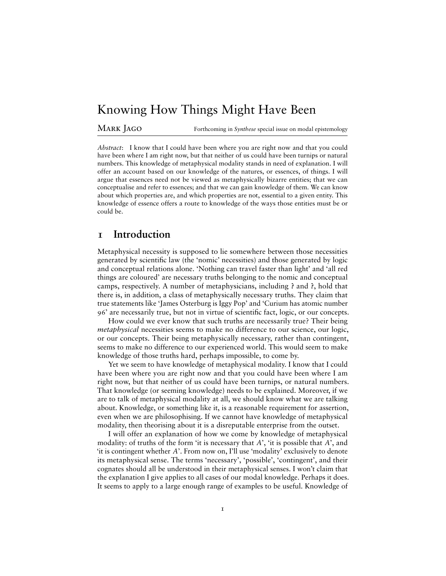# Knowing How Things Might Have Been

Mark Jago Forthcoming in *Synthese* special issue on modal epistemology

*Abstract*: I know that I could have been where you are right now and that you could have been where I am right now, but that neither of us could have been turnips or natural numbers. This knowledge of metaphysical modality stands in need of explanation. I will offer an account based on our knowledge of the natures, or essences, of things. I will argue that essences need not be viewed as metaphysically bizarre entities; that we can conceptualise and refer to essences; and that we can gain knowledge of them. We can know about which properties are, and which properties are not, essential to a given entity. This knowledge of essence offers a route to knowledge of the ways those entities must be or could be.

#### **1 Introduction**

Metaphysical necessity is supposed to lie somewhere between those necessities generated by scientific law (the 'nomic' necessities) and those generated by logic and conceptual relations alone. 'Nothing can travel faster than light' and 'all red things are coloured' are necessary truths belonging to the nomic and conceptual camps, respectively. A number of metaphysicians, including **?** and **?**, hold that there is, in addition, a class of metaphysically necessary truths. They claim that true statements like 'James Osterburg is Iggy Pop' and 'Curium has atomic number 96' are necessarily true, but not in virtue of scientific fact, logic, or our concepts.

How could we ever know that such truths are necessarily true? Their being *metaphysical* necessities seems to make no difference to our science, our logic, or our concepts. Their being metaphysically necessary, rather than contingent, seems to make no difference to our experienced world. This would seem to make knowledge of those truths hard, perhaps impossible, to come by.

Yet we seem to have knowledge of metaphysical modality. I know that I could have been where you are right now and that you could have been where I am right now, but that neither of us could have been turnips, or natural numbers. That knowledge (or seeming knowledge) needs to be explained. Moreover, if we are to talk of metaphysical modality at all, we should know what we are talking about. Knowledge, or something like it, is a reasonable requirement for assertion, even when we are philosophising. If we cannot have knowledge of metaphysical modality, then theorising about it is a disreputable enterprise from the outset.

I will offer an explanation of how we come by knowledge of metaphysical modality: of truths of the form 'it is necessary that *A*', 'it is possible that *A*', and 'it is contingent whether *A*'. From now on, I'll use 'modality' exclusively to denote its metaphysical sense. The terms 'necessary', 'possible', 'contingent', and their cognates should all be understood in their metaphysical senses. I won't claim that the explanation I give applies to all cases of our modal knowledge. Perhaps it does. It seems to apply to a large enough range of examples to be useful. Knowledge of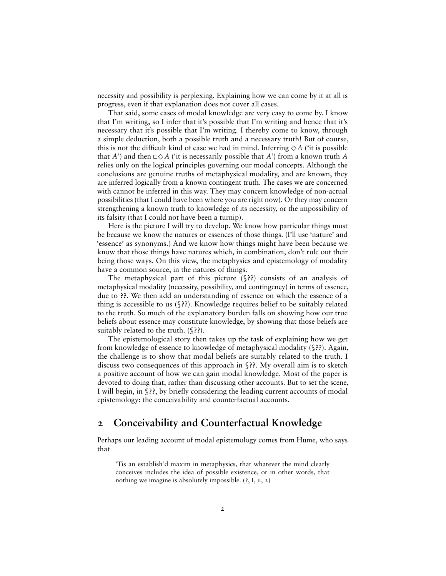necessity and possibility is perplexing. Explaining how we can come by it at all is progress, even if that explanation does not cover all cases.

That said, some cases of modal knowledge are very easy to come by. I know that I'm writing, so I infer that it's possible that I'm writing and hence that it's necessary that it's possible that I'm writing. I thereby come to know, through a simple deduction, both a possible truth and a necessary truth! But of course, this is not the difficult kind of case we had in mind. Inferring  $\diamond A$  ('it is possible that *A*') and then  $\Box \Diamond A$  ('it is necessarily possible that *A*') from a known truth *A* relies only on the logical principles governing our modal concepts. Although the conclusions are genuine truths of metaphysical modality, and are known, they are inferred logically from a known contingent truth. The cases we are concerned with cannot be inferred in this way. They may concern knowledge of non-actual possibilities (that I could have been where you are right now). Or they may concern strengthening a known truth to knowledge of its necessity, or the impossibility of its falsity (that I could not have been a turnip).

Here is the picture I will try to develop. We know how particular things must be because we know the natures or essences of those things. (I'll use 'nature' and 'essence' as synonyms.) And we know how things might have been because we know that those things have natures which, in combination, don't rule out their being those ways. On this view, the metaphysics and epistemology of modality have a common source, in the natures of things.

The metaphysical part of this picture (§**??**) consists of an analysis of metaphysical modality (necessity, possibility, and contingency) in terms of essence, due to **??**. We then add an understanding of essence on which the essence of a thing is accessible to us (§**??**). Knowledge requires belief to be suitably related to the truth. So much of the explanatory burden falls on showing how our true beliefs about essence may constitute knowledge, by showing that those beliefs are suitably related to the truth. (§**??**).

The epistemological story then takes up the task of explaining how we get from knowledge of essence to knowledge of metaphysical modality (§**??**). Again, the challenge is to show that modal beliefs are suitably related to the truth. I discuss two consequences of this approach in §**??**. My overall aim is to sketch a positive account of how we can gain modal knowledge. Most of the paper is devoted to doing that, rather than discussing other accounts. But to set the scene, I will begin, in §??, by briefly considering the leading current accounts of modal epistemology: the conceivability and counterfactual accounts.

## **2 Conceivability and Counterfactual Knowledge**

Perhaps our leading account of modal epistemology comes from Hume, who says that

'Tis an establish'd maxim in metaphysics, that whatever the mind clearly conceives includes the idea of possible existence, or in other words, that nothing we imagine is absolutely impossible. (**?**, I, ii, 2)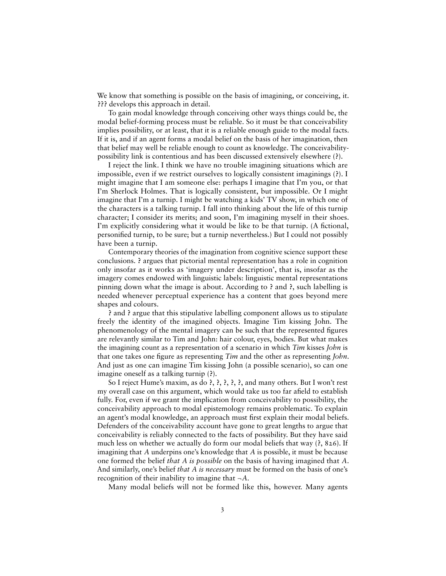We know that something is possible on the basis of imagining, or conceiving, it. **???** develops this approach in detail.

To gain modal knowledge through conceiving other ways things could be, the modal belief-forming process must be reliable. So it must be that conceivability implies possibility, or at least, that it is a reliable enough guide to the modal facts. If it is, and if an agent forms a modal belief on the basis of her imagination, then that belief may well be reliable enough to count as knowledge. The conceivabilitypossibility link is contentious and has been discussed extensively elsewhere (**?**).

I reject the link. I think we have no trouble imagining situations which are impossible, even if we restrict ourselves to logically consistent imaginings (**?**). I might imagine that I am someone else: perhaps I imagine that I'm you, or that I'm Sherlock Holmes. That is logically consistent, but impossible. Or I might imagine that I'm a turnip. I might be watching a kids' TV show, in which one of the characters is a talking turnip. I fall into thinking about the life of this turnip character; I consider its merits; and soon, I'm imagining myself in their shoes. I'm explicitly considering what it would be like to be that turnip. (A fictional, personified turnip, to be sure; but a turnip nevertheless.) But I could not possibly have been a turnip.

Contemporary theories of the imagination from cognitive science support these conclusions. **?** argues that pictorial mental representation has a role in cognition only insofar as it works as 'imagery under description', that is, insofar as the imagery comes endowed with linguistic labels: linguistic mental representations pinning down what the image is about. According to **?** and **?**, such labelling is needed whenever perceptual experience has a content that goes beyond mere shapes and colours.

**?** and **?** argue that this stipulative labelling component allows us to stipulate freely the identity of the imagined objects. Imagine Tim kissing John. The phenomenology of the mental imagery can be such that the represented figures are relevantly similar to Tim and John: hair colour, eyes, bodies. But what makes the imagining count as a representation of a scenario in which *Tim* kisses *John* is that one takes one figure as representing *Tim* and the other as representing *John*. And just as one can imagine Tim kissing John (a possible scenario), so can one imagine oneself as a talking turnip (**?**).

So I reject Hume's maxim, as do **?**, **?**, **?**, **?**, **?**, and many others. But I won't rest my overall case on this argument, which would take us too far afield to establish fully. For, even if we grant the implication from conceivability to possibility, the conceivability approach to modal epistemology remains problematic. To explain an agent's modal knowledge, an approach must first explain their modal beliefs. Defenders of the conceivability account have gone to great lengths to argue that conceivability is reliably connected to the facts of possibility. But they have said much less on whether we actually do form our modal beliefs that way (**?**, 826). If imagining that *A* underpins one's knowledge that *A* is possible, it must be because one formed the belief *that A is possible* on the basis of having imagined that *A*. And similarly, one's belief *that A is necessary* must be formed on the basis of one's recognition of their inability to imagine that ¬*A*.

Many modal beliefs will not be formed like this, however. Many agents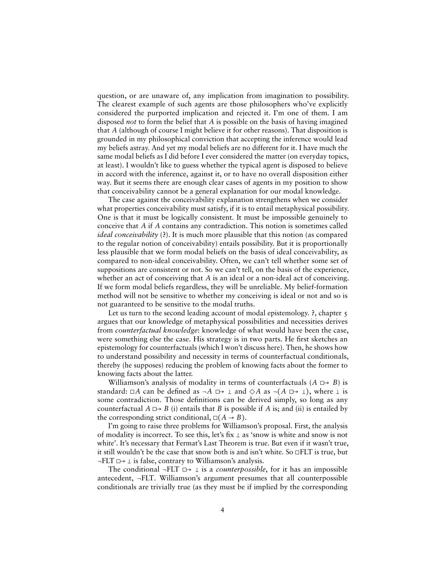question, or are unaware of, any implication from imagination to possibility. The clearest example of such agents are those philosophers who've explicitly considered the purported implication and rejected it. I'm one of them. I am disposed *not* to form the belief that *A* is possible on the basis of having imagined that *A* (although of course I might believe it for other reasons). That disposition is grounded in my philosophical conviction that accepting the inference would lead my beliefs astray. And yet my modal beliefs are no different for it. I have much the same modal beliefs as I did before I ever considered the matter (on everyday topics, at least). I wouldn't like to guess whether the typical agent is disposed to believe in accord with the inference, against it, or to have no overall disposition either way. But it seems there are enough clear cases of agents in my position to show that conceivability cannot be a general explanation for our modal knowledge.

The case against the conceivability explanation strengthens when we consider what properties conceivability must satisfy, if it is to entail metaphysical possibility. One is that it must be logically consistent. It must be impossible genuinely to conceive that *A* if *A* contains any contradiction. This notion is sometimes called *ideal conceivability* (**?**). It is much more plausible that this notion (as compared to the regular notion of conceivability) entails possibility. But it is proportionally less plausible that we form modal beliefs on the basis of ideal conceivability, as compared to non-ideal conceivability. Often, we can't tell whether some set of suppositions are consistent or not. So we can't tell, on the basis of the experience, whether an act of conceiving that *A* is an ideal or a non-ideal act of conceiving. If we form modal beliefs regardless, they will be unreliable. My belief-formation method will not be sensitive to whether my conceiving is ideal or not and so is not guaranteed to be sensitive to the modal truths.

Let us turn to the second leading account of modal epistemology. **?**, chapter 5 argues that our knowledge of metaphysical possibilities and necessities derives from *counterfactual knowledge*: knowledge of what would have been the case, were something else the case. His strategy is in two parts. He first sketches an epistemology for counterfactuals (which I won't discuss here). Then, he shows how to understand possibility and necessity in terms of counterfactual conditionals, thereby (he supposes) reducing the problem of knowing facts about the former to knowing facts about the latter.

Williamson's analysis of modality in terms of counterfactuals  $(A \rightharpoonup B)$  is standard:  $\Box A$  can be defined as  $\neg A \implies \bot$  and  $\diamond A$  as  $\neg(A \implies \bot)$ , where  $\bot$  is some contradiction. Those definitions can be derived simply, so long as any counterfactual  $A \rightharpoonup B$  (i) entails that *B* is possible if *A* is; and (ii) is entailed by the corresponding strict conditional,  $\square(A \rightarrow B)$ .

I'm going to raise three problems for Williamson's proposal. First, the analysis of modality is incorrect. To see this, let's fix  $\perp$  as 'snow is white and snow is not white'. It's necessary that Fermat's Last Theorem is true. But even if it wasn't true, it still wouldn't be the case that snow both is and isn't white. So ◻FLT is true, but  $\neg$ FLT  $\Box \rightarrow \bot$  is false, contrary to Williamson's analysis.

The conditional  $\neg$ FLT  $\Box \rightarrow \bot$  is a *counterpossible*, for it has an impossible antecedent, ¬FLT. Williamson's argument presumes that all counterpossible conditionals are trivially true (as they must be if implied by the corresponding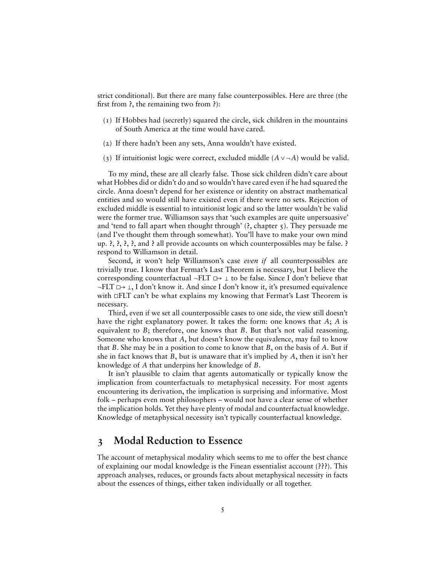strict conditional). But there are many false counterpossibles. Here are three (the -rst from **?**, the remaining two from **?**):

- (1) If Hobbes had (secretly) squared the circle, sick children in the mountains of South America at the time would have cared.
- (2) If there hadn't been any sets, Anna wouldn't have existed.
- (3) If intuitionist logic were correct, excluded middle (*A* ∨ ¬*A*) would be valid.

To my mind, these are all clearly false. Those sick children didn't care about what Hobbes did or didn't do and so wouldn't have cared even if he had squared the circle. Anna doesn't depend for her existence or identity on abstract mathematical entities and so would still have existed even if there were no sets. Rejection of excluded middle is essential to intuitionist logic and so the latter wouldn't be valid were the former true. Williamson says that 'such examples are quite unpersuasive' and 'tend to fall apart when thought through' (**?**, chapter 5). They persuade me (and I've thought them through somewhat). You'll have to make your own mind up. **?**, **?**, **?**, **?**, and **?** all provide accounts on which counterpossibles may be false. **?** respond to Williamson in detail.

Second, it won't help Williamson's case *even if* all counterpossibles are trivially true. I know that Fermat's Last Theorem is necessary, but I believe the corresponding counterfactual  $\neg$ FLT  $\Box \rightarrow \bot$  to be false. Since I don't believe that  $\neg$ FLT  $\Box$  $\rightarrow$   $\bot$ , I don't know it. And since I don't know it, it's presumed equivalence with □FLT can't be what explains my knowing that Fermat's Last Theorem is necessary.

Third, even if we set all counterpossible cases to one side, the view still doesn't have the right explanatory power. It takes the form: one knows that *A*; *A* is equivalent to *B*; therefore, one knows that *B*. But that's not valid reasoning. Someone who knows that *A*, but doesn't know the equivalence, may fail to know that *B*. She may be in a position to come to know that *B*, on the basis of *A*. But if she in fact knows that *B*, but is unaware that it's implied by *A*, then it isn't her knowledge of *A* that underpins her knowledge of *B*.

It isn't plausible to claim that agents automatically or typically know the implication from counterfactuals to metaphysical necessity. For most agents encountering its derivation, the implication is surprising and informative. Most folk – perhaps even most philosophers – would not have a clear sense of whether the implication holds. Yet they have plenty of modal and counterfactual knowledge. Knowledge of metaphysical necessity isn't typically counterfactual knowledge.

#### **3 Modal Reduction to Essence**

The account of metaphysical modality which seems to me to offer the best chance of explaining our modal knowledge is the Finean essentialist account (**???**). This approach analyses, reduces, or grounds facts about metaphysical necessity in facts about the essences of things, either taken individually or all together.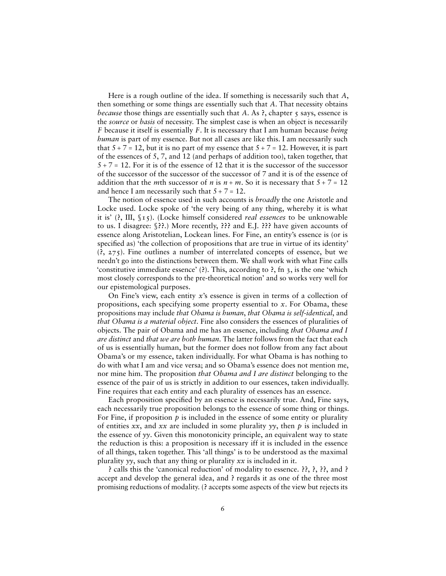Here is a rough outline of the idea. If something is necessarily such that *A*, then something or some things are essentially such that *A*. That necessity obtains *because* those things are essentially such that *A*. As ?, chapter 5 says, essence is the *source* or *basis* of necessity. The simplest case is when an object is necessarily *F* because it itself is essentially *F*. It is necessary that I am human because *being human* is part of my essence. But not all cases are like this. I am necessarily such that  $5 + 7 = 12$ , but it is no part of my essence that  $5 + 7 = 12$ . However, it is part of the essences of 5, 7, and 12 (and perhaps of addition too), taken together, that  $5 + 7 = 12$ . For it is of the essence of 12 that it is the successor of the successor of the successor of the successor of the successor of 7 and it is of the essence of addition that the *m*th successor of *n* is  $n + m$ . So it is necessary that  $5 + 7 = 12$ and hence I am necessarily such that  $5 + 7 = 12$ .

The notion of essence used in such accounts is *broadly* the one Aristotle and Locke used. Locke spoke of 'the very being of any thing, whereby it is what it is' (**?**, III, §15). (Locke himself considered *real essences* to be unknowable to us. I disagree: §**??**.) More recently, **???** and E.J. **???** have given accounts of essence along Aristotelian, Lockean lines. For Fine, an entity's essence is (or is specified as) 'the collection of propositions that are true in virtue of its identity' (**?**, 275). Fine outlines a number of interrelated concepts of essence, but we needn't go into the distinctions between them. We shall work with what Fine calls 'constitutive immediate essence' (**?**). This, according to **?**, fn 3, is the one 'which most closely corresponds to the pre-theoretical notion' and so works very well for our epistemological purposes.

On Fine's view, each entity *x*'s essence is given in terms of a collection of propositions, each specifying some property essential to *x*. For Obama, these propositions may include *that Obama is human*, *that Obama is self-identical*, and *that Obama is a material object*. Fine also considers the essences of pluralities of objects. The pair of Obama and me has an essence, including *that Obama and I are distinct* and *that we are both human*. The latter follows from the fact that each of us is essentially human, but the former does not follow from any fact about Obama's or my essence, taken individually. For what Obama is has nothing to do with what I am and vice versa; and so Obama's essence does not mention me, nor mine him. The proposition *that Obama and I are distinct* belonging to the essence of the pair of us is strictly in addition to our essences, taken individually. Fine requires that each entity and each plurality of essences has an essence.

Each proposition specified by an essence is necessarily true. And, Fine says, each necessarily true proposition belongs to the essence of some thing or things. For Fine, if proposition *p* is included in the essence of some entity or plurality of entities *xx*, and *xx* are included in some plurality *yy*, then *p* is included in the essence of *yy*. Given this monotonicity principle, an equivalent way to state the reduction is this: a proposition is necessary iff it is included in the essence of all things, taken together. This 'all things' is to be understood as the maximal plurality  $\gamma y$ , such that any thing or plurality  $xx$  is included in it.

**?** calls this the 'canonical reduction' of modality to essence. **??**, **?**, **??**, and **?** accept and develop the general idea, and **?** regards it as one of the three most promising reductions of modality. (**?** accepts some aspects of the view but rejects its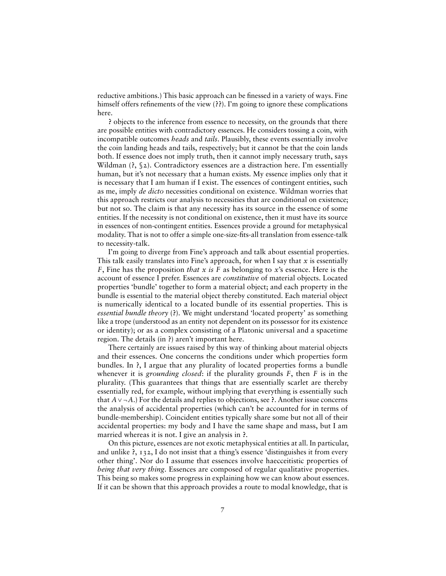reductive ambitions.) This basic approach can be finessed in a variety of ways. Fine himself offers refinements of the view (??). I'm going to ignore these complications here.

**?** objects to the inference from essence to necessity, on the grounds that there are possible entities with contradictory essences. He considers tossing a coin, with incompatible outcomes *heads* and *tails*. Plausibly, these events essentially involve the coin landing heads and tails, respectively; but it cannot be that the coin lands both. If essence does not imply truth, then it cannot imply necessary truth, says Wildman (**?**, §2). Contradictory essences are a distraction here. I'm essentially human, but it's not necessary that a human exists. My essence implies only that it is necessary that I am human if I exist. The essences of contingent entities, such as me, imply *de dicto* necessities conditional on existence. Wildman worries that this approach restricts our analysis to necessities that are conditional on existence; but not so. The claim is that any necessity has its source in the essence of some entities. If the necessity is not conditional on existence, then it must have its source in essences of non-contingent entities. Essences provide a ground for metaphysical modality. That is not to offer a simple one-size-fits-all translation from essence-talk to necessity-talk.

I'm going to diverge from Fine's approach and talk about essential properties. This talk easily translates into Fine's approach, for when I say that *x* is essentially *F*, Fine has the proposition *that x is F* as belonging to *x*'s essence. Here is the account of essence I prefer. Essences are *constitutive* of material objects. Located properties 'bundle' together to form a material object; and each property in the bundle is essential to the material object thereby constituted. Each material object is numerically identical to a located bundle of its essential properties. This is *essential bundle theory* (**?**). We might understand 'located property' as something like a trope (understood as an entity not dependent on its possessor for its existence or identity); or as a complex consisting of a Platonic universal and a spacetime region. The details (in **?**) aren't important here.

There certainly are issues raised by this way of thinking about material objects and their essences. One concerns the conditions under which properties form bundles. In **?**, I argue that any plurality of located properties forms a bundle whenever it is *grounding closed*: if the plurality grounds *F*, then *F* is in the plurality. (This guarantees that things that are essentially scarlet are thereby essentially red, for example, without implying that everything is essentially such that *A*∨ ¬*A*.) For the details and replies to objections, see **?**. Another issue concerns the analysis of accidental properties (which can't be accounted for in terms of bundle-membership). Coincident entities typically share some but not all of their accidental properties: my body and I have the same shape and mass, but I am married whereas it is not. I give an analysis in **?**.

On this picture, essences are not exotic metaphysical entities at all. In particular, and unlike **?**, 132, I do not insist that a thing's essence 'distinguishes it from every other thing'. Nor do I assume that essences involve haecceitistic properties of *being that very thing.* Essences are composed of regular qualitative properties. This being so makes some progress in explaining how we can know about essences. If it can be shown that this approach provides a route to modal knowledge, that is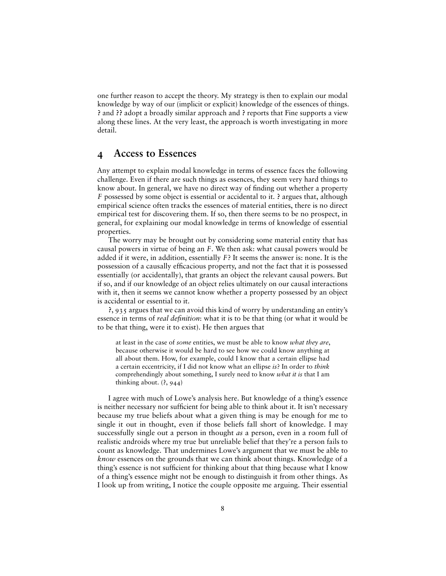one further reason to accept the theory. My strategy is then to explain our modal knowledge by way of our (implicit or explicit) knowledge of the essences of things. **?** and **??** adopt a broadly similar approach and **?** reports that Fine supports a view along these lines. At the very least, the approach is worth investigating in more detail.

### **4 Access to Essences**

Any attempt to explain modal knowledge in terms of essence faces the following challenge. Even if there are such things as essences, they seem very hard things to know about. In general, we have no direct way of finding out whether a property *F* possessed by some object is essential or accidental to it. **?** argues that, although empirical science often tracks the essences of material entities, there is no direct empirical test for discovering them. If so, then there seems to be no prospect, in general, for explaining our modal knowledge in terms of knowledge of essential properties.

The worry may be brought out by considering some material entity that has causal powers in virtue of being an *F*. We then ask: what causal powers would be added if it were, in addition, essentially *F*? It seems the answer is: none. It is the possession of a causally efficacious property, and not the fact that it is possessed essentially (or accidentally), that grants an object the relevant causal powers. But if so, and if our knowledge of an object relies ultimately on our causal interactions with it, then it seems we cannot know whether a property possessed by an object is accidental or essential to it.

**?**, 935 argues that we can avoid this kind of worry by understanding an entity's essence in terms of *real definition*: what it is to be that thing (or what it would be to be that thing, were it to exist). He then argues that

at least in the case of *some* entities, we must be able to know *what they are*, because otherwise it would be hard to see how we could know anything at all about them. How, for example, could I know that a certain ellipse had a certain eccentricity, if I did not know what an ellipse *is*? In order to *think* comprehendingly about something, I surely need to know *what it is* that I am thinking about. (**?**, 944)

I agree with much of Lowe's analysis here. But knowledge of a thing's essence is neither necessary nor sufficient for being able to think about it. It isn't necessary because my true beliefs about what a given thing is may be enough for me to single it out in thought, even if those beliefs fall short of knowledge. I may successfully single out a person in thought *as* a person, even in a room full of realistic androids where my true but unreliable belief that they're a person fails to count as knowledge. That undermines Lowe's argument that we must be able to *know* essences on the grounds that we can think about things. Knowledge of a thing's essence is not sufficient for thinking about that thing because what I know of a thing's essence might not be enough to distinguish it from other things. As I look up from writing, I notice the couple opposite me arguing. Their essential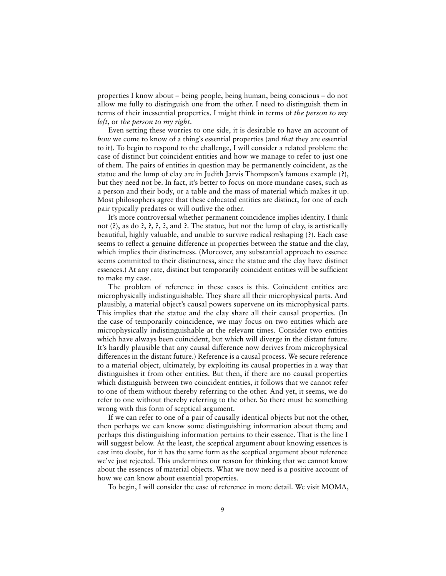properties I know about – being people, being human, being conscious – do not allow me fully to distinguish one from the other. I need to distinguish them in terms of their inessential properties. I might think in terms of *the person to my left*, or *the person to my right*.

Even setting these worries to one side, it is desirable to have an account of *how* we come to know of a thing's essential properties (and *that* they are essential to it). To begin to respond to the challenge, I will consider a related problem: the case of distinct but coincident entities and how we manage to refer to just one of them. The pairs of entities in question may be permanently coincident, as the statue and the lump of clay are in Judith Jarvis Thompson's famous example (**?**), but they need not be. In fact, it's better to focus on more mundane cases, such as a person and their body, or a table and the mass of material which makes it up. Most philosophers agree that these colocated entities are distinct, for one of each pair typically predates or will outlive the other.

It's more controversial whether permanent coincidence implies identity. I think not (**?**), as do **?**, **?**, **?**, **?**, and **?**. The statue, but not the lump of clay, is artistically beautiful, highly valuable, and unable to survive radical reshaping (**?**). Each case seems to reflect a genuine difference in properties between the statue and the clay, which implies their distinctness. (Moreover, any substantial approach to essence seems committed to their distinctness, since the statue and the clay have distinct essences.) At any rate, distinct but temporarily coincident entities will be sufficient to make my case.

The problem of reference in these cases is this. Coincident entities are microphysically indistinguishable. They share all their microphysical parts. And plausibly, a material object's causal powers supervene on its microphysical parts. This implies that the statue and the clay share all their causal properties. (In the case of temporarily coincidence, we may focus on two entities which are microphysically indistinguishable at the relevant times. Consider two entities which have always been coincident, but which will diverge in the distant future. It's hardly plausible that any causal difference now derives from microphysical differences in the distant future.) Reference is a causal process. We secure reference to a material object, ultimately, by exploiting its causal properties in a way that distinguishes it from other entities. But then, if there are no causal properties which distinguish between two coincident entities, it follows that we cannot refer to one of them without thereby referring to the other. And yet, it seems, we do refer to one without thereby referring to the other. So there must be something wrong with this form of sceptical argument.

If we can refer to one of a pair of causally identical objects but not the other, then perhaps we can know some distinguishing information about them; and perhaps this distinguishing information pertains to their essence. That is the line I will suggest below. At the least, the sceptical argument about knowing essences is cast into doubt, for it has the same form as the sceptical argument about reference we've just rejected. This undermines our reason for thinking that we cannot know about the essences of material objects. What we now need is a positive account of how we can know about essential properties.

To begin, I will consider the case of reference in more detail. We visit MOMA,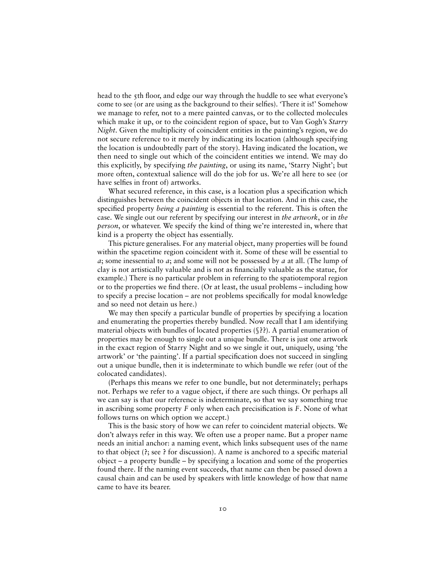head to the 5th floor, and edge our way through the huddle to see what everyone's come to see (or are using as the background to their selfies). 'There it is!' Somehow we manage to refer, not to a mere painted canvas, or to the collected molecules which make it up, or to the coincident region of space, but to Van Gogh's *Starry Night*. Given the multiplicity of coincident entities in the painting's region, we do not secure reference to it merely by indicating its location (although specifying the location is undoubtedly part of the story). Having indicated the location, we then need to single out which of the coincident entities we intend. We may do this explicitly, by specifying *the painting*, or using its name, 'Starry Night'; but more often, contextual salience will do the job for us. We're all here to see (or have selfies in front of) artworks.

What secured reference, in this case, is a location plus a specification which distinguishes between the coincident objects in that location. And in this case, the specified property *being a painting* is essential to the referent. This is often the case. We single out our referent by specifying our interest in *the artwork*, or in *the person*, or whatever. We specify the kind of thing we're interested in, where that kind is a property the object has essentially.

This picture generalises. For any material object, many properties will be found within the spacetime region coincident with it. Some of these will be essential to *a*; some inessential to *a*; and some will not be possessed by *a* at all. (The lump of clay is not artistically valuable and is not as financially valuable as the statue, for example.) There is no particular problem in referring to the spatiotemporal region or to the properties we find there. (Or at least, the usual problems – including how to specify a precise location – are not problems specifically for modal knowledge and so need not detain us here.)

We may then specify a particular bundle of properties by specifying a location and enumerating the properties thereby bundled. Now recall that I am identifying material objects with bundles of located properties (§**??**). A partial enumeration of properties may be enough to single out a unique bundle. There is just one artwork in the exact region of Starry Night and so we single it out, uniquely, using 'the artwork' or 'the painting'. If a partial specification does not succeed in singling out a unique bundle, then it is indeterminate to which bundle we refer (out of the colocated candidates).

(Perhaps this means we refer to one bundle, but not determinately; perhaps not. Perhaps we refer to a vague object, if there are such things. Or perhaps all we can say is that our reference is indeterminate, so that we say something true in ascribing some property *F* only when each precisification is *F*. None of what follows turns on which option we accept.)

This is the basic story of how we can refer to coincident material objects. We don't always refer in this way. We often use a proper name. But a proper name needs an initial anchor: a naming event, which links subsequent uses of the name to that object (?; see ? for discussion). A name is anchored to a specific material object – a property bundle – by specifying a location and some of the properties found there. If the naming event succeeds, that name can then be passed down a causal chain and can be used by speakers with little knowledge of how that name came to have its bearer.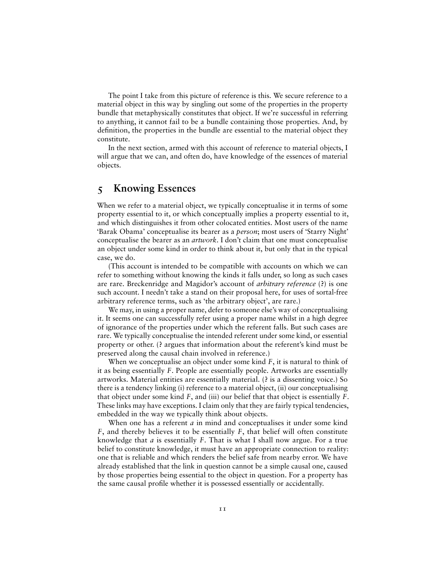The point I take from this picture of reference is this. We secure reference to a material object in this way by singling out some of the properties in the property bundle that metaphysically constitutes that object. If we're successful in referring to anything, it cannot fail to be a bundle containing those properties. And, by definition, the properties in the bundle are essential to the material object they constitute.

In the next section, armed with this account of reference to material objects, I will argue that we can, and often do, have knowledge of the essences of material objects.

## **5 Knowing Essences**

When we refer to a material object, we typically conceptualise it in terms of some property essential to it, or which conceptually implies a property essential to it, and which distinguishes it from other colocated entities. Most users of the name 'Barak Obama' conceptualise its bearer as a *person*; most users of 'Starry Night' conceptualise the bearer as an *artwork*. I don't claim that one must conceptualise an object under some kind in order to think about it, but only that in the typical case, we do.

(This account is intended to be compatible with accounts on which we can refer to something without knowing the kinds it falls under, so long as such cases are rare. Breckenridge and Magidor's account of *arbitrary reference* (**?**) is one such account. I needn't take a stand on their proposal here, for uses of sortal-free arbitrary reference terms, such as 'the arbitrary object', are rare.)

We may, in using a proper name, defer to someone else's way of conceptualising it. It seems one can successfully refer using a proper name whilst in a high degree of ignorance of the properties under which the referent falls. But such cases are rare. We typically conceptualise the intended referent under some kind, or essential property or other. (**?** argues that information about the referent's kind must be preserved along the causal chain involved in reference.)

When we conceptualise an object under some kind *F*, it is natural to think of it as being essentially *F*. People are essentially people. Artworks are essentially artworks. Material entities are essentially material. (**?** is a dissenting voice.) So there is a tendency linking (i) reference to a material object, (ii) our conceptualising that object under some kind *F*, and (iii) our belief that that object is essentially *F*. These links may have exceptions. I claim only that they are fairly typical tendencies, embedded in the way we typically think about objects.

When one has a referent *a* in mind and conceptualises it under some kind *F*, and thereby believes it to be essentially *F*, that belief will often constitute knowledge that *a* is essentially *F*. That is what I shall now argue. For a true belief to constitute knowledge, it must have an appropriate connection to reality: one that is reliable and which renders the belief safe from nearby error. We have already established that the link in question cannot be a simple causal one, caused by those properties being essential to the object in question. For a property has the same causal profile whether it is possessed essentially or accidentally.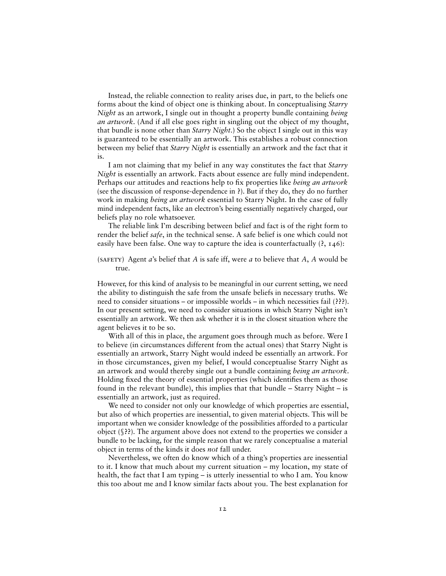Instead, the reliable connection to reality arises due, in part, to the beliefs one forms about the kind of object one is thinking about. In conceptualising *Starry Night* as an artwork, I single out in thought a property bundle containing *being an artwork*. (And if all else goes right in singling out the object of my thought, that bundle is none other than *Starry Night*.) So the object I single out in this way is guaranteed to be essentially an artwork. This establishes a robust connection between my belief that *Starry Night* is essentially an artwork and the fact that it is.

I am not claiming that my belief in any way constitutes the fact that *Starry Night* is essentially an artwork. Facts about essence are fully mind independent. Perhaps our attitudes and reactions help to fix properties like *being an artwork* (see the discussion of response-dependence in **?**). But if they do, they do no further work in making *being an artwork* essential to Starry Night. In the case of fully mind independent facts, like an electron's being essentially negatively charged, our beliefs play no role whatsoever.

The reliable link I'm describing between belief and fact is of the right form to render the belief *safe*, in the technical sense. A safe belief is one which could not easily have been false. One way to capture the idea is counterfactually (**?**, 146):

(SAFETY) Agent  $a$ 's belief that  $A$  is safe iff, were  $a$  to believe that  $A$ ,  $A$  would be true.

However, for this kind of analysis to be meaningful in our current setting, we need the ability to distinguish the safe from the unsafe beliefs in necessary truths. We need to consider situations – or impossible worlds – in which necessities fail (**???**). In our present setting, we need to consider situations in which Starry Night isn't essentially an artwork. We then ask whether it is in the closest situation where the agent believes it to be so.

With all of this in place, the argument goes through much as before. Were I to believe (in circumstances different from the actual ones) that Starry Night is essentially an artwork, Starry Night would indeed be essentially an artwork. For in those circumstances, given my belief, I would conceptualise Starry Night as an artwork and would thereby single out a bundle containing *being an artwork*. Holding fixed the theory of essential properties (which identifies them as those found in the relevant bundle), this implies that that bundle – Starry Night – is essentially an artwork, just as required.

We need to consider not only our knowledge of which properties are essential, but also of which properties are inessential, to given material objects. This will be important when we consider knowledge of the possibilities afforded to a particular object (§**??**). The argument above does not extend to the properties we consider a bundle to be lacking, for the simple reason that we rarely conceptualise a material object in terms of the kinds it does *not* fall under.

Nevertheless, we often do know which of a thing's properties are inessential to it. I know that much about my current situation – my location, my state of health, the fact that I am typing – is utterly inessential to who I am. You know this too about me and I know similar facts about you. The best explanation for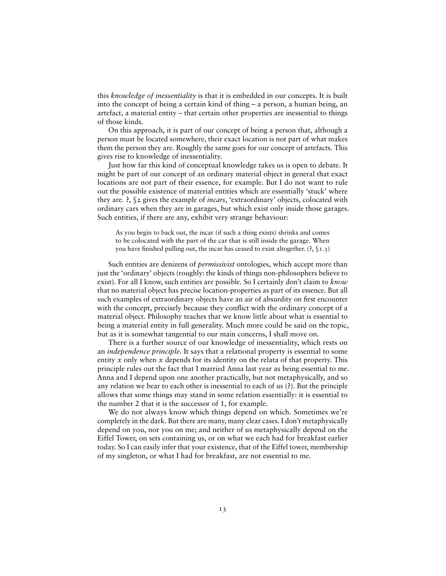this *knowledge of inessentiality* is that it is embedded in our concepts. It is built into the concept of being a certain kind of thing – a person, a human being, an artefact, a material entity – that certain other properties are inessential to things of those kinds.

On this approach, it is part of our concept of being a person that, although a person must be located somewhere, their exact location is not part of what makes them the person they are. Roughly the same goes for our concept of artefacts. This gives rise to knowledge of inessentiality.

Just how far this kind of conceptual knowledge takes us is open to debate. It might be part of our concept of an ordinary material object in general that exact locations are not part of their essence, for example. But I do not want to rule out the possible existence of material entities which are essentially 'stuck' where they are. **?**, §2 gives the example of *incars*, 'extraordinary' objects, colocated with ordinary cars when they are in garages, but which exist only inside those garages. Such entities, if there are any, exhibit very strange behaviour:

As you begin to back out, the incar (if such a thing exists) shrinks and comes to be colocated with the part of the car that is still inside the garage. When you have finished pulling out, the incar has ceased to exist altogether. (?, §1.3)

Such entities are denizens of *permissivist* ontologies, which accept more than just the 'ordinary' objects (roughly: the kinds of things non-philosophers believe to exist). For all I know, such entities are possible. So I certainly don't claim to *know* that no material object has precise location-properties as part of its essence. But all such examples of extraordinary objects have an air of absurdity on first encounter with the concept, precisely because they conflict with the ordinary concept of a material object. Philosophy teaches that we know little about what is essential to being a material entity in full generality. Much more could be said on the topic, but as it is somewhat tangential to our main concerns, I shall move on.

There is a further source of our knowledge of inessentiality, which rests on an *independence principle*. It says that a relational property is essential to some entity *x* only when *x* depends for its identity on the relata of that property. This principle rules out the fact that I married Anna last year as being essential to me. Anna and I depend upon one another practically, but not metaphysically, and so any relation we bear to each other is inessential to each of us (**?**). But the principle allows that some things may stand in some relation essentially: it is essential to the number 2 that it is the successor of 1, for example.

We do not always know which things depend on which. Sometimes we're completely in the dark. But there are many, many clear cases. I don't metaphysically depend on you, nor you on me; and neither of us metaphysically depend on the Eiffel Tower, on sets containing us, or on what we each had for breakfast earlier today. So I can easily infer that your existence, that of the Eiffel tower, membership of my singleton, or what I had for breakfast, are not essential to me.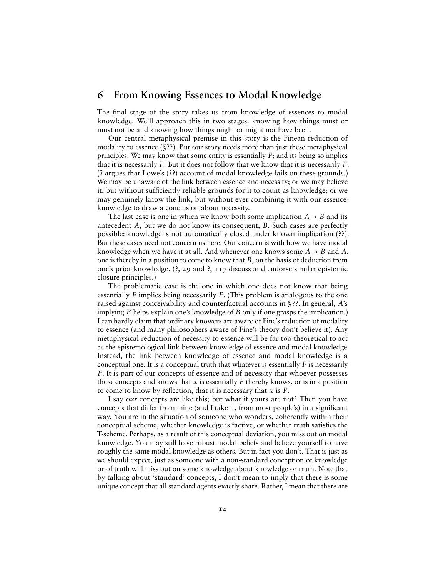#### **6 From Knowing Essences to Modal Knowledge**

The final stage of the story takes us from knowledge of essences to modal knowledge. We'll approach this in two stages: knowing how things must or must not be and knowing how things might or might not have been.

Our central metaphysical premise in this story is the Finean reduction of modality to essence (§**??**). But our story needs more than just these metaphysical principles. We may know that some entity is essentially *F*; and its being so implies that it is necessarily *F*. But it does not follow that we know that it is necessarily *F*. (**?** argues that Lowe's (**??**) account of modal knowledge fails on these grounds.) We may be unaware of the link between essence and necessity; or we may believe it, but without sufficiently reliable grounds for it to count as knowledge; or we may genuinely know the link, but without ever combining it with our essenceknowledge to draw a conclusion about necessity.

The last case is one in which we know both some implication  $A \rightarrow B$  and its antecedent *A*, but we do not know its consequent, *B*. Such cases are perfectly possible: knowledge is not automatically closed under known implication (**??**). But these cases need not concern us here. Our concern is with how we have modal knowledge when we have it at all. And whenever one knows some  $A \rightarrow B$  and A, one is thereby in a position to come to know that *B*, on the basis of deduction from one's prior knowledge. (**?**, 29 and **?**, 117 discuss and endorse similar epistemic closure principles.)

The problematic case is the one in which one does not know that being essentially *F* implies being necessarily *F*. (This problem is analogous to the one raised against conceivability and counterfactual accounts in §**??**. In general, *A*'s implying *B* helps explain one's knowledge of *B* only if one grasps the implication.) I can hardly claim that ordinary knowers are aware of Fine's reduction of modality to essence (and many philosophers aware of Fine's theory don't believe it). Any metaphysical reduction of necessity to essence will be far too theoretical to act as the epistemological link between knowledge of essence and modal knowledge. Instead, the link between knowledge of essence and modal knowledge is a conceptual one. It is a conceptual truth that whatever is essentially *F* is necessarily *F*. It is part of our concepts of essence and of necessity that whoever possesses those concepts and knows that *x* is essentially *F* thereby knows, or is in a position to come to know by reflection, that it is necessary that  $x$  is  $F$ .

I say *our* concepts are like this; but what if yours are not? Then you have concepts that differ from mine (and I take it, from most people's) in a significant way. You are in the situation of someone who wonders, coherently within their conceptual scheme, whether knowledge is factive, or whether truth satisfies the T-scheme. Perhaps, as a result of this conceptual deviation, you miss out on modal knowledge. You may still have robust modal beliefs and believe yourself to have roughly the same modal knowledge as others. But in fact you don't. That is just as we should expect, just as someone with a non-standard conception of knowledge or of truth will miss out on some knowledge about knowledge or truth. Note that by talking about 'standard' concepts, I don't mean to imply that there is some unique concept that all standard agents exactly share. Rather, I mean that there are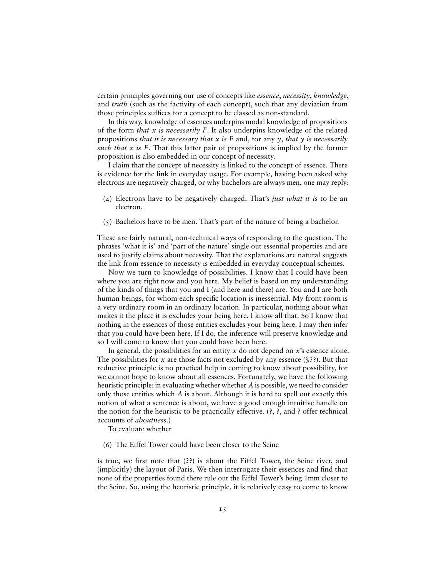certain principles governing our use of concepts like *essence*, *necessity*, *knowledge*, and *truth* (such as the factivity of each concept), such that any deviation from those principles suffices for a concept to be classed as non-standard.

In this way, knowledge of essences underpins modal knowledge of propositions of the form *that x is necessarily F*. It also underpins knowledge of the related propositions *that it is necessary that x is F* and, for any *y*, *that y is necessarily such that x is F*. That this latter pair of propositions is implied by the former proposition is also embedded in our concept of necessity.

I claim that the concept of necessity is linked to the concept of essence. There is evidence for the link in everyday usage. For example, having been asked why electrons are negatively charged, or why bachelors are always men, one may reply:

- (4) Electrons have to be negatively charged. That's *just what it is* to be an electron.
- (5) Bachelors have to be men. That's part of the nature of being a bachelor.

These are fairly natural, non-technical ways of responding to the question. The phrases 'what it is' and 'part of the nature' single out essential properties and are used to justify claims about necessity. That the explanations are natural suggests the link from essence to necessity is embedded in everyday conceptual schemes.

Now we turn to knowledge of possibilities. I know that I could have been where you are right now and you here. My belief is based on my understanding of the kinds of things that you and I (and here and there) are. You and I are both human beings, for whom each specific location is inessential. My front room is a very ordinary room in an ordinary location. In particular, nothing about what makes it the place it is excludes your being here. I know all that. So I know that nothing in the essences of those entities excludes your being here. I may then infer that you could have been here. If I do, the inference will preserve knowledge and so I will come to know that you could have been here.

In general, the possibilities for an entity  $x$  do not depend on  $x$ 's essence alone. The possibilities for *x* are those facts not excluded by any essence (§**??**). But that reductive principle is no practical help in coming to know about possibility, for we cannot hope to know about all essences. Fortunately, we have the following heuristic principle: in evaluating whether whether *A* is possible, we need to consider only those entities which *A* is about. Although it is hard to spell out exactly this notion of what a sentence is about, we have a good enough intuitive handle on the notion for the heuristic to be practically effective. (**?**, **?**, and **?** offer technical accounts of *aboutness*.)

To evaluate whether

(6) The Eiffel Tower could have been closer to the Seine

is true, we first note that (??) is about the Eiffel Tower, the Seine river, and (implicitly) the layout of Paris. We then interrogate their essences and find that none of the properties found there rule out the Eiffel Tower's being 1mm closer to the Seine. So, using the heuristic principle, it is relatively easy to come to know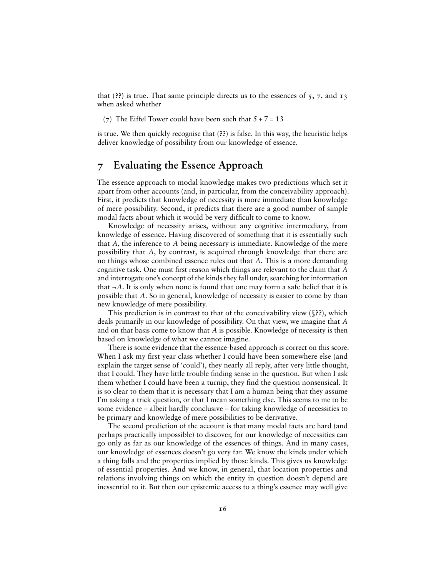that (**??**) is true. That same principle directs us to the essences of 5, 7, and 13 when asked whether

(7) The Eiffel Tower could have been such that  $5 + 7 = 13$ 

is true. We then quickly recognise that (**??**) is false. In this way, the heuristic helps deliver knowledge of possibility from our knowledge of essence.

## **7 Evaluating the Essence Approach**

The essence approach to modal knowledge makes two predictions which set it apart from other accounts (and, in particular, from the conceivability approach). First, it predicts that knowledge of necessity is more immediate than knowledge of mere possibility. Second, it predicts that there are a good number of simple modal facts about which it would be very difficult to come to know.

Knowledge of necessity arises, without any cognitive intermediary, from knowledge of essence. Having discovered of something that it is essentially such that *A*, the inference to *A* being necessary is immediate. Knowledge of the mere possibility that *A*, by contrast, is acquired through knowledge that there are no things whose combined essence rules out that *A*. This is a more demanding cognitive task. One must first reason which things are relevant to the claim that *A* and interrogate one's concept of the kinds they fall under, searching for information that  $\neg A$ . It is only when none is found that one may form a safe belief that it is possible that *A*. So in general, knowledge of necessity is easier to come by than new knowledge of mere possibility.

This prediction is in contrast to that of the conceivability view (§**??**), which deals primarily in our knowledge of possibility. On that view, we imagine that *A* and on that basis come to know that *A* is possible. Knowledge of necessity is then based on knowledge of what we cannot imagine.

There is some evidence that the essence-based approach is correct on this score. When I ask my first year class whether I could have been somewhere else (and explain the target sense of 'could'), they nearly all reply, after very little thought, that I could. They have little trouble finding sense in the question. But when I ask them whether I could have been a turnip, they find the question nonsensical. It is so clear to them that it is necessary that I am a human being that they assume I'm asking a trick question, or that I mean something else. This seems to me to be some evidence – albeit hardly conclusive – for taking knowledge of necessities to be primary and knowledge of mere possibilities to be derivative.

The second prediction of the account is that many modal facts are hard (and perhaps practically impossible) to discover, for our knowledge of necessities can go only as far as our knowledge of the essences of things. And in many cases, our knowledge of essences doesn't go very far. We know the kinds under which a thing falls and the properties implied by those kinds. This gives us knowledge of essential properties. And we know, in general, that location properties and relations involving things on which the entity in question doesn't depend are inessential to it. But then our epistemic access to a thing's essence may well give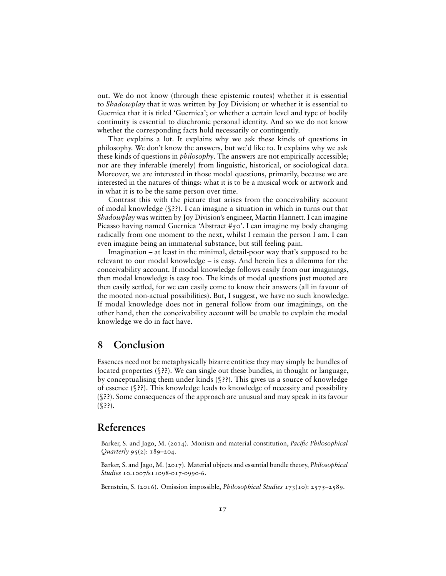out. We do not know (through these epistemic routes) whether it is essential to *Shadowplay* that it was written by Joy Division; or whether it is essential to Guernica that it is titled 'Guernica'; or whether a certain level and type of bodily continuity is essential to diachronic personal identity. And so we do not know whether the corresponding facts hold necessarily or contingently.

That explains a lot. It explains why we ask these kinds of questions in philosophy. We don't know the answers, but we'd like to. It explains why we ask these kinds of questions in *philosophy*. The answers are not empirically accessible; nor are they inferable (merely) from linguistic, historical, or sociological data. Moreover, we are interested in those modal questions, primarily, because we are interested in the natures of things: what it is to be a musical work or artwork and in what it is to be the same person over time.

Contrast this with the picture that arises from the conceivability account of modal knowledge (§**??**). I can imagine a situation in which in turns out that *Shadowplay* was written by Joy Division's engineer, Martin Hannett. I can imagine Picasso having named Guernica 'Abstract #50'. I can imagine my body changing radically from one moment to the next, whilst I remain the person I am. I can even imagine being an immaterial substance, but still feeling pain.

Imagination – at least in the minimal, detail-poor way that's supposed to be relevant to our modal knowledge – is easy. And herein lies a dilemma for the conceivability account. If modal knowledge follows easily from our imaginings, then modal knowledge is easy too. The kinds of modal questions just mooted are then easily settled, for we can easily come to know their answers (all in favour of the mooted non-actual possibilities). But, I suggest, we have no such knowledge. If modal knowledge does not in general follow from our imaginings, on the other hand, then the conceivability account will be unable to explain the modal knowledge we do in fact have.

## **8 Conclusion**

Essences need not be metaphysically bizarre entities: they may simply be bundles of located properties (§**??**). We can single out these bundles, in thought or language, by conceptualising them under kinds (§**??**). This gives us a source of knowledge of essence (§**??**). This knowledge leads to knowledge of necessity and possibility (§**??**). Some consequences of the approach are unusual and may speak in its favour (§**??**).

#### **References**

Barker, S. and Jago, M. (2014). Monism and material constitution, *Pacific Philosophical Quarterly* 95(2): 189–204.

Barker, S. and Jago, M. (2017). Material objects and essential bundle theory, *Philosophical Studies* 10.1007/s11098-017-0990-6.

Bernstein, S. (2016). Omission impossible, *Philosophical Studies* 173(10): 2575–2589.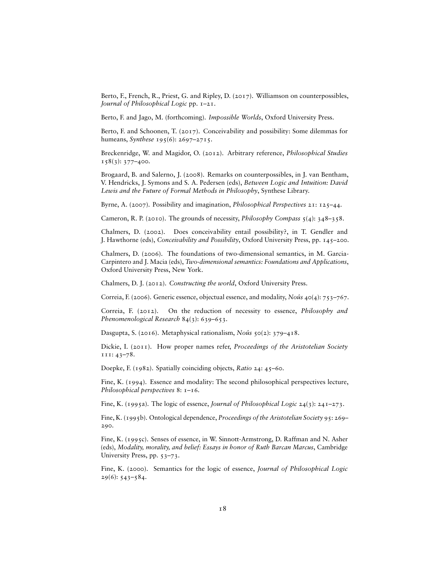Berto, F., French, R., Priest, G. and Ripley, D. (2017). Williamson on counterpossibles, *Journal of Philosophical Logic* pp. 1–21.

Berto, F. and Jago, M. (forthcoming). *Impossible Worlds*, Oxford University Press.

Berto, F. and Schoonen, T. (2017). Conceivability and possibility: Some dilemmas for humeans, *Synthese* 195(6): 2697–2715.

Breckenridge, W. and Magidor, O. (2012). Arbitrary reference, *Philosophical Studies*  $158(3)$ : 377–400.

Brogaard, B. and Salerno, J. (2008). Remarks on counterpossibles, in J. van Bentham, V. Hendricks, J. Symons and S. A. Pedersen (eds), *Between Logic and Intuition: David Lewis and the Future of Formal Methods in Philosophy*, Synthese Library.

Byrne, A. (2007). Possibility and imagination, *Philosophical Perspectives* 21: 125–44.

Cameron, R. P. (2010). The grounds of necessity, *Philosophy Compass* 5(4): 348–358.

Chalmers, D. (2002). Does conceivability entail possibility?, in T. Gendler and J. Hawthorne (eds), *Conceivability and Possibility*, Oxford University Press, pp. 145–200.

Chalmers, D. (2006). The foundations of two-dimensional semantics, in M. Garcia-Carpintero and J. Macia (eds), *Two-dimensional semantics: Foundations and Applications*, Oxford University Press, New York.

Chalmers, D. J. (2012). *Constructing the world*, Oxford University Press.

Correia, F. (2006). Generic essence, objectual essence, and modality, *Noûs* 40(4): 753–767.

Correia, F. (2012). On the reduction of necessity to essence, *Philosophy and Phenomenological Research* 84(3): 639–653.

Dasgupta, S. (2016). Metaphysical rationalism, *Noûs* 50(2): 379–418.

Dickie, I. (2011). How proper names refer, *Proceedings of the Aristotelian Society* 111: 43–78.

Doepke, F. (1982). Spatially coinciding objects, *Ratio* 24: 45–60.

Fine, K. (1994). Essence and modality: The second philosophical perspectives lecture, *Philosophical perspectives* 8: 1–16.

Fine, K. (1995a). The logic of essence, *Journal of Philosophical Logic* 24(3): 241–273.

Fine, K. (1995b). Ontological dependence, *Proceedings of the Aristotelian Society* 95: 269– 290.

Fine, K. (1995c). Senses of essence, in W. Sinnott-Armstrong, D. Raffman and N. Asher (eds), *Modality, morality, and belief: Essays in honor of Ruth Barcan Marcus*, Cambridge University Press, pp. 53–73.

Fine, K. (2000). Semantics for the logic of essence, *Journal of Philosophical Logic*  $29(6)$ : 543–584.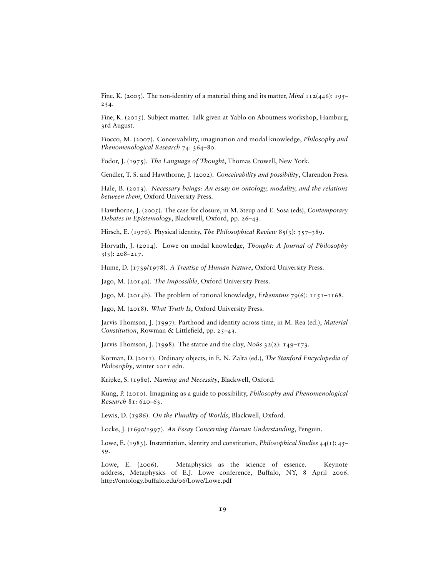Fine, K. (2003). The non-identity of a material thing and its matter, *Mind* 112(446): 195– 234.

Fine, K. (2015). Subject matter. Talk given at Yablo on Aboutness workshop, Hamburg, 3rd August.

Fiocco, M. (2007). Conceivability, imagination and modal knowledge, *Philosophy and Phenomenological Research* 74: 364–80.

Fodor, J. (1975). *The Language of Thought*, Thomas Crowell, New York.

Gendler, T. S. and Hawthorne, J. (2002). *Conceivability and possibility*, Clarendon Press.

Hale, B. (2013). *Necessary beings: An essay on ontology, modality, and the relations between them*, Oxford University Press.

Hawthorne, J. (2005). The case for closure, in M. Steup and E. Sosa (eds), *Contemporary Debates in Epistemology*, Blackwell, Oxford, pp. 26–43.

Hirsch, E. (1976). Physical identity, *The Philosophical Review* 85(3): 357-389.

Horvath, J. (2014). Lowe on modal knowledge, *Thought: A Journal of Philosophy*  $3(3)$ : 208–217.

Hume, D. (1739/1978). *A Treatise of Human Nature*, Oxford University Press.

Jago, M. (2014a). *The Impossible*, Oxford University Press.

Jago, M. (2014b). The problem of rational knowledge, *Erkenntnis* 79(6): 1151–1168.

Jago, M. (2018). *What Truth Is*, Oxford University Press.

Jarvis Thomson, J. (1997). Parthood and identity across time, in M. Rea (ed.), *Material Constitution*, Rowman & Littlefield, pp. 25–43.

Jarvis Thomson, J. (1998). The statue and the clay, *Noûs* 32(2): 149–173.

Korman, D. (2011). Ordinary objects, in E. N. Zalta (ed.), *The Stanford Encyclopedia of Philosophy*, winter 2011 edn.

Kripke, S. (1980). *Naming and Necessity*, Blackwell, Oxford.

Kung, P. (2010). Imagining as a guide to possibility, *Philosophy and Phenomenological Research* 81: 620–63.

Lewis, D. (1986). *On the Plurality of Worlds*, Blackwell, Oxford.

Locke, J. (1690/1997). *An Essay Concerning Human Understanding*, Penguin.

Lowe, E. (1983). Instantiation, identity and constitution, *Philosophical Studies* 44(1): 45– 59.

Lowe, E. (2006). Metaphysics as the science of essence. Keynote address, Metaphysics of E.J. Lowe conference, Buffalo, NY, 8 April 2006. http://ontology.buffalo.edu/06/Lowe/Lowe.pdf